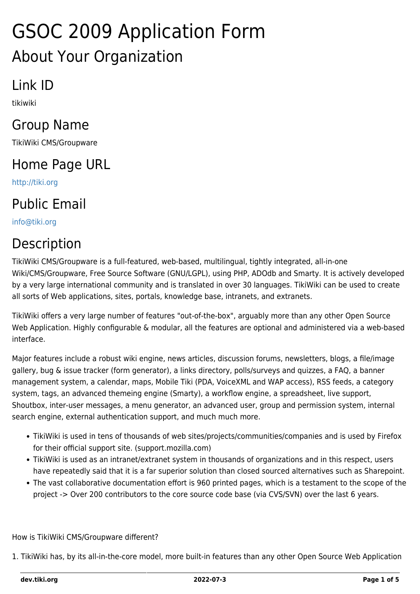# GSOC 2009 Application Form About Your Organization

## Link ID

tikiwiki

## Group Name

TikiWiki CMS/Groupware

# Home Page URL

<http://tiki.org>

# Public Email

[info@tiki.org](mailto:info@tiki.org)

# Description

TikiWiki CMS/Groupware is a full-featured, web-based, multilingual, tightly integrated, all-in-one Wiki/CMS/Groupware, Free Source Software (GNU/LGPL), using PHP, ADOdb and Smarty. It is actively developed by a very large international community and is translated in over 30 languages. TikiWiki can be used to create all sorts of Web applications, sites, portals, knowledge base, intranets, and extranets.

TikiWiki offers a very large number of features "out-of-the-box", arguably more than any other Open Source Web Application. Highly configurable & modular, all the features are optional and administered via a web-based interface.

Major features include a robust wiki engine, news articles, discussion forums, newsletters, blogs, a file/image gallery, bug & issue tracker (form generator), a links directory, polls/surveys and quizzes, a FAQ, a banner management system, a calendar, maps, Mobile Tiki (PDA, VoiceXML and WAP access), RSS feeds, a category system, tags, an advanced themeing engine (Smarty), a workflow engine, a spreadsheet, live support, Shoutbox, inter-user messages, a menu generator, an advanced user, group and permission system, internal search engine, external authentication support, and much much more.

- TikiWiki is used in tens of thousands of web sites/projects/communities/companies and is used by Firefox for their official support site. (support.mozilla.com)
- TikiWiki is used as an intranet/extranet system in thousands of organizations and in this respect, users have repeatedly said that it is a far superior solution than closed sourced alternatives such as Sharepoint.
- The vast collaborative documentation effort is 960 printed pages, which is a testament to the scope of the project -> Over 200 contributors to the core source code base (via CVS/SVN) over the last 6 years.

How is TikiWiki CMS/Groupware different?

1. TikiWiki has, by its all-in-the-core model, more built-in features than any other Open Source Web Application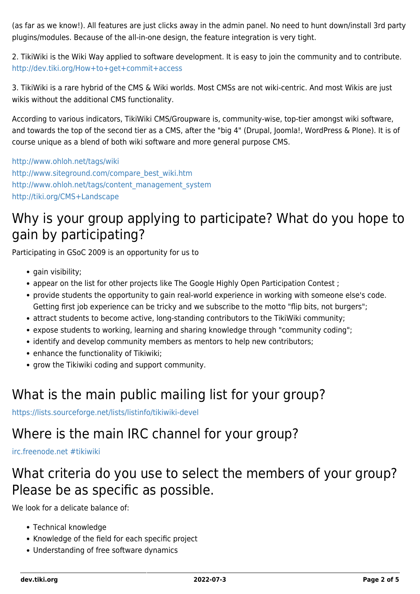(as far as we know!). All features are just clicks away in the admin panel. No need to hunt down/install 3rd party plugins/modules. Because of the all-in-one design, the feature integration is very tight.

2. TikiWiki is the Wiki Way applied to software development. It is easy to join the community and to contribute. <http://dev.tiki.org/How+to+get+commit+access>

3. TikiWiki is a rare hybrid of the CMS & Wiki worlds. Most CMSs are not wiki-centric. And most Wikis are just wikis without the additional CMS functionality.

According to various indicators, TikiWiki CMS/Groupware is, community-wise, top-tier amongst wiki software, and towards the top of the second tier as a CMS, after the "big 4" (Drupal, Joomla!, WordPress & Plone). It is of course unique as a blend of both wiki software and more general purpose CMS.

<http://www.ohloh.net/tags/wiki> [http://www.siteground.com/compare\\_best\\_wiki.htm](http://www.siteground.com/compare_best_wiki.htm) [http://www.ohloh.net/tags/content\\_management\\_system](http://www.ohloh.net/tags/content_management_system) <http://tiki.org/CMS+Landscape>

#### Why is your group applying to participate? What do you hope to gain by participating?

Participating in GSoC 2009 is an opportunity for us to

- gain visibility;
- appear on the list for other projects like The Google Highly Open Participation Contest;
- provide students the opportunity to gain real-world experience in working with someone else's code. Getting first job experience can be tricky and we subscribe to the motto "flip bits, not burgers";
- attract students to become active, long-standing contributors to the TikiWiki community;
- expose students to working, learning and sharing knowledge through "community coding";
- identify and develop community members as mentors to help new contributors;
- enhance the functionality of Tikiwiki;
- grow the Tikiwiki coding and support community.

#### What is the main public mailing list for your group?

<https://lists.sourceforge.net/lists/listinfo/tikiwiki-devel>

#### Where is the main IRC channel for your group?

[irc.freenode.net #tikiwiki](http://irc.tiki.org)

#### What criteria do you use to select the members of your group? Please be as specific as possible.

We look for a delicate balance of:

- Technical knowledge
- Knowledge of the field for each specific project
- Understanding of free software dynamics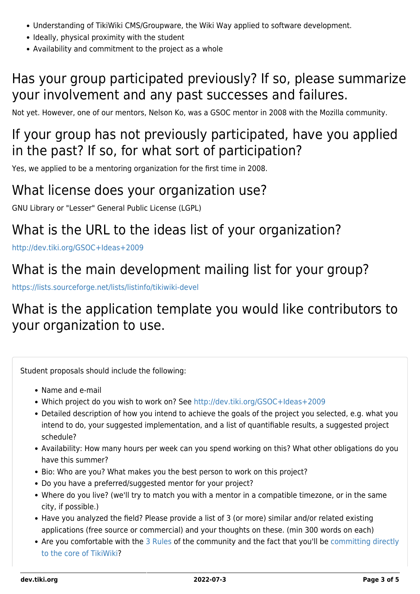- Understanding of TikiWiki CMS/Groupware, the Wiki Way applied to software development.
- Ideally, physical proximity with the student
- Availability and commitment to the project as a whole

## Has your group participated previously? If so, please summarize your involvement and any past successes and failures.

Not yet. However, one of our mentors, Nelson Ko, was a GSOC mentor in 2008 with the Mozilla community.

## If your group has not previously participated, have you applied in the past? If so, for what sort of participation?

Yes, we applied to be a mentoring organization for the first time in 2008.

#### What license does your organization use?

GNU Library or "Lesser" General Public License (LGPL)

## What is the URL to the ideas list of your organization?

<http://dev.tiki.org/GSOC+Ideas+2009>

## What is the main development mailing list for your group?

<https://lists.sourceforge.net/lists/listinfo/tikiwiki-devel>

## What is the application template you would like contributors to your organization to use.

Student proposals should include the following:

- Name and e-mail
- Which project do you wish to work on? See <http://dev.tiki.org/GSOC+Ideas+2009>
- Detailed description of how you intend to achieve the goals of the project you selected, e.g. what you intend to do, your suggested implementation, and a list of quantifiable results, a suggested project schedule?
- Availability: How many hours per week can you spend working on this? What other obligations do you have this summer?
- Bio: Who are you? What makes you the best person to work on this project?
- Do you have a preferred/suggested mentor for your project?
- Where do you live? (we'll try to match you with a mentor in a compatible timezone, or in the same city, if possible.)
- Have you analyzed the field? Please provide a list of 3 (or more) similar and/or related existing applications (free source or commercial) and your thoughts on these. (min 300 words on each)
- Are you comfortable with the [3 Rules](https://dev.tiki.org/3-Rules) of the community and the fact that you'll be [committing directly](https://dev.tiki.org/How-to-get-commit-access) [to the core of TikiWiki](https://dev.tiki.org/How-to-get-commit-access)?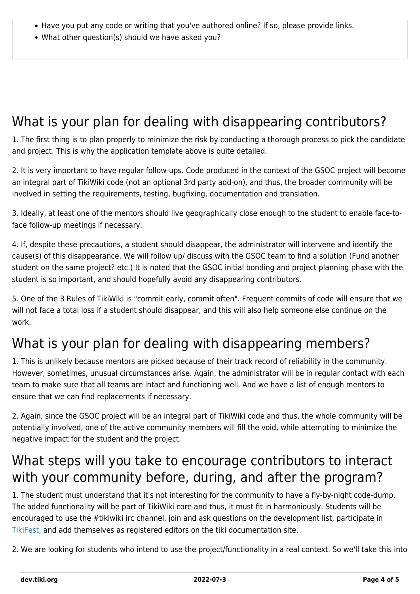- Have you put any code or writing that you've authored online? If so, please provide links.
- What other question(s) should we have asked you?

## What is your plan for dealing with disappearing contributors?

1. The first thing is to plan properly to minimize the risk by conducting a thorough process to pick the candidate and project. This is why the application template above is quite detailed.

2. It is very important to have regular follow-ups. Code produced in the context of the GSOC project will become an integral part of TikiWiki code (not an optional 3rd party add-on), and thus, the broader community will be involved in setting the requirements, testing, bugfixing, documentation and translation.

3. Ideally, at least one of the mentors should live geographically close enough to the student to enable face-toface follow-up meetings if necessary.

4. If, despite these precautions, a student should disappear, the administrator will intervene and identify the cause(s) of this disappearance. We will follow up/ discuss with the GSOC team to find a solution (Fund another student on the same project? etc.) It is noted that the GSOC initial bonding and project planning phase with the student is so important, and should hopefully avoid any disappearing contributors.

5. One of the 3 Rules of TikiWiki is "commit early, commit often". Frequent commits of code will ensure that we will not face a total loss if a student should disappear, and this will also help someone else continue on the work.

## What is your plan for dealing with disappearing members?

1. This is unlikely because mentors are picked because of their track record of reliability in the community. However, sometimes, unusual circumstances arise. Again, the administrator will be in regular contact with each team to make sure that all teams are intact and functioning well. And we have a list of enough mentors to ensure that we can find replacements if necessary.

2. Again, since the GSOC project will be an integral part of TikiWiki code and thus, the whole community will be potentially involved, one of the active community members will fill the void, while attempting to minimize the negative impact for the student and the project.

## What steps will you take to encourage contributors to interact with your community before, during, and after the program?

1. The student must understand that it's not interesting for the community to have a fly-by-night code-dump. The added functionality will be part of TikiWiki core and thus, it must fit in harmoniously. Students will be encouraged to use the #tikiwiki irc channel, join and ask questions on the development list, participate in [TikiFest](http://tiki.org/TikiFest), and add themselves as registered editors on the tiki documentation site.

2. We are looking for students who intend to use the project/functionality in a real context. So we'll take this into